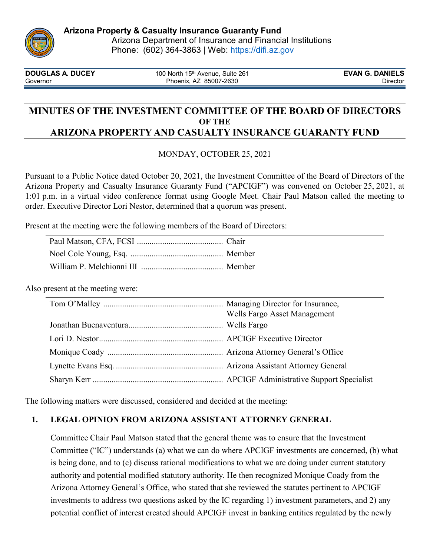

**DOUGLAS A. DUCEY** 100 North 15<sup>th</sup> Avenue, Suite 261 **EVAN G. DANIELS**<br>Governor **EVAN G. DANIELS** Phoenix. AZ 85007-2630 Governor **Contracts** Covernor Phoenix, AZ 85007-2630

# **MINUTES OF THE INVESTMENT COMMITTEE OF THE BOARD OF DIRECTORS OF THE ARIZONA PROPERTY AND CASUALTY INSURANCE GUARANTY FUND**

## MONDAY, OCTOBER 25, 2021

Pursuant to a Public Notice dated October 20, 2021, the Investment Committee of the Board of Directors of the Arizona Property and Casualty Insurance Guaranty Fund ("APCIGF") was convened on October 25, 2021, at 1:01 p.m. in a virtual video conference format using Google Meet. Chair Paul Matson called the meeting to order. Executive Director Lori Nestor, determined that a quorum was present.

Present at the meeting were the following members of the Board of Directors:

Also present at the meeting were:

| Wells Fargo Asset Management |
|------------------------------|
|                              |
|                              |
|                              |
|                              |
|                              |

The following matters were discussed, considered and decided at the meeting:

# **1. LEGAL OPINION FROM ARIZONA ASSISTANT ATTORNEY GENERAL**

Committee Chair Paul Matson stated that the general theme was to ensure that the Investment Committee ("IC") understands (a) what we can do where APCIGF investments are concerned, (b) what is being done, and to (c) discuss rational modifications to what we are doing under current statutory authority and potential modified statutory authority. He then recognized Monique Coady from the Arizona Attorney General's Office, who stated that she reviewed the statutes pertinent to APCIGF investments to address two questions asked by the IC regarding 1) investment parameters, and 2) any potential conflict of interest created should APCIGF invest in banking entities regulated by the newly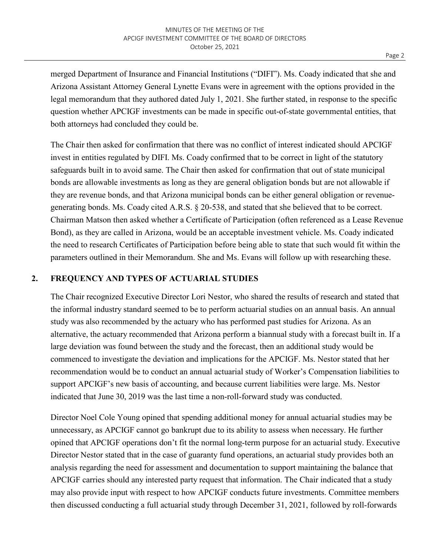merged Department of Insurance and Financial Institutions ("DIFI"). Ms. Coady indicated that she and Arizona Assistant Attorney General Lynette Evans were in agreement with the options provided in the legal memorandum that they authored dated July 1, 2021. She further stated, in response to the specific question whether APCIGF investments can be made in specific out-of-state governmental entities, that both attorneys had concluded they could be.

The Chair then asked for confirmation that there was no conflict of interest indicated should APCIGF invest in entities regulated by DIFI. Ms. Coady confirmed that to be correct in light of the statutory safeguards built in to avoid same. The Chair then asked for confirmation that out of state municipal bonds are allowable investments as long as they are general obligation bonds but are not allowable if they are revenue bonds, and that Arizona municipal bonds can be either general obligation or revenuegenerating bonds. Ms. Coady cited A.R.S. § 20-538, and stated that she believed that to be correct. Chairman Matson then asked whether a Certificate of Participation (often referenced as a Lease Revenue Bond), as they are called in Arizona, would be an acceptable investment vehicle. Ms. Coady indicated the need to research Certificates of Participation before being able to state that such would fit within the parameters outlined in their Memorandum. She and Ms. Evans will follow up with researching these.

### **2. FREQUENCY AND TYPES OF ACTUARIAL STUDIES**

The Chair recognized Executive Director Lori Nestor, who shared the results of research and stated that the informal industry standard seemed to be to perform actuarial studies on an annual basis. An annual study was also recommended by the actuary who has performed past studies for Arizona. As an alternative, the actuary recommended that Arizona perform a biannual study with a forecast built in. If a large deviation was found between the study and the forecast, then an additional study would be commenced to investigate the deviation and implications for the APCIGF. Ms. Nestor stated that her recommendation would be to conduct an annual actuarial study of Worker's Compensation liabilities to support APCIGF's new basis of accounting, and because current liabilities were large. Ms. Nestor indicated that June 30, 2019 was the last time a non-roll-forward study was conducted.

Director Noel Cole Young opined that spending additional money for annual actuarial studies may be unnecessary, as APCIGF cannot go bankrupt due to its ability to assess when necessary. He further opined that APCIGF operations don't fit the normal long-term purpose for an actuarial study. Executive Director Nestor stated that in the case of guaranty fund operations, an actuarial study provides both an analysis regarding the need for assessment and documentation to support maintaining the balance that APCIGF carries should any interested party request that information. The Chair indicated that a study may also provide input with respect to how APCIGF conducts future investments. Committee members then discussed conducting a full actuarial study through December 31, 2021, followed by roll-forwards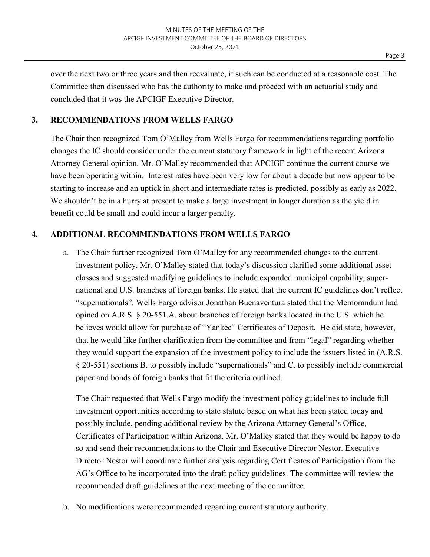over the next two or three years and then reevaluate, if such can be conducted at a reasonable cost. The Committee then discussed who has the authority to make and proceed with an actuarial study and concluded that it was the APCIGF Executive Director.

#### **3. RECOMMENDATIONS FROM WELLS FARGO**

The Chair then recognized Tom O'Malley from Wells Fargo for recommendations regarding portfolio changes the IC should consider under the current statutory framework in light of the recent Arizona Attorney General opinion. Mr. O'Malley recommended that APCIGF continue the current course we have been operating within. Interest rates have been very low for about a decade but now appear to be starting to increase and an uptick in short and intermediate rates is predicted, possibly as early as 2022. We shouldn't be in a hurry at present to make a large investment in longer duration as the yield in benefit could be small and could incur a larger penalty.

#### **4. ADDITIONAL RECOMMENDATIONS FROM WELLS FARGO**

a. The Chair further recognized Tom O'Malley for any recommended changes to the current investment policy. Mr. O'Malley stated that today's discussion clarified some additional asset classes and suggested modifying guidelines to include expanded municipal capability, supernational and U.S. branches of foreign banks. He stated that the current IC guidelines don't reflect "supernationals". Wells Fargo advisor Jonathan Buenaventura stated that the Memorandum had opined on A.R.S. § 20-551.A. about branches of foreign banks located in the U.S. which he believes would allow for purchase of "Yankee" Certificates of Deposit. He did state, however, that he would like further clarification from the committee and from "legal" regarding whether they would support the expansion of the investment policy to include the issuers listed in (A.R.S. § 20-551) sections B. to possibly include "supernationals" and C. to possibly include commercial paper and bonds of foreign banks that fit the criteria outlined.

The Chair requested that Wells Fargo modify the investment policy guidelines to include full investment opportunities according to state statute based on what has been stated today and possibly include, pending additional review by the Arizona Attorney General's Office, Certificates of Participation within Arizona. Mr. O'Malley stated that they would be happy to do so and send their recommendations to the Chair and Executive Director Nestor. Executive Director Nestor will coordinate further analysis regarding Certificates of Participation from the AG's Office to be incorporated into the draft policy guidelines. The committee will review the recommended draft guidelines at the next meeting of the committee.

b. No modifications were recommended regarding current statutory authority.